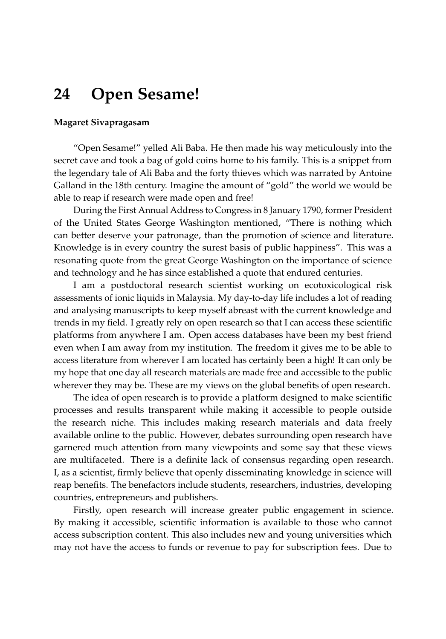## **24 Open Sesame!**

## **Magaret Sivapragasam**

"Open Sesame!" yelled Ali Baba. He then made his way meticulously into the secret cave and took a bag of gold coins home to his family. This is a snippet from the legendary tale of Ali Baba and the forty thieves which was narrated by Antoine Galland in the 18th century. Imagine the amount of "gold" the world we would be able to reap if research were made open and free!

During the First Annual Address to Congress in 8 January 1790, former President of the United States George Washington mentioned, "There is nothing which can better deserve your patronage, than the promotion of science and literature. Knowledge is in every country the surest basis of public happiness". This was a resonating quote from the great George Washington on the importance of science and technology and he has since established a quote that endured centuries.

I am a postdoctoral research scientist working on ecotoxicological risk assessments of ionic liquids in Malaysia. My day-to-day life includes a lot of reading and analysing manuscripts to keep myself abreast with the current knowledge and trends in my field. I greatly rely on open research so that I can access these scientific platforms from anywhere I am. Open access databases have been my best friend even when I am away from my institution. The freedom it gives me to be able to access literature from wherever I am located has certainly been a high! It can only be my hope that one day all research materials are made free and accessible to the public wherever they may be. These are my views on the global benefits of open research.

The idea of open research is to provide a platform designed to make scientific processes and results transparent while making it accessible to people outside the research niche. This includes making research materials and data freely available online to the public. However, debates surrounding open research have garnered much attention from many viewpoints and some say that these views are multifaceted. There is a definite lack of consensus regarding open research. I, as a scientist, firmly believe that openly disseminating knowledge in science will reap benefits. The benefactors include students, researchers, industries, developing countries, entrepreneurs and publishers.

Firstly, open research will increase greater public engagement in science. By making it accessible, scientific information is available to those who cannot access subscription content. This also includes new and young universities which may not have the access to funds or revenue to pay for subscription fees. Due to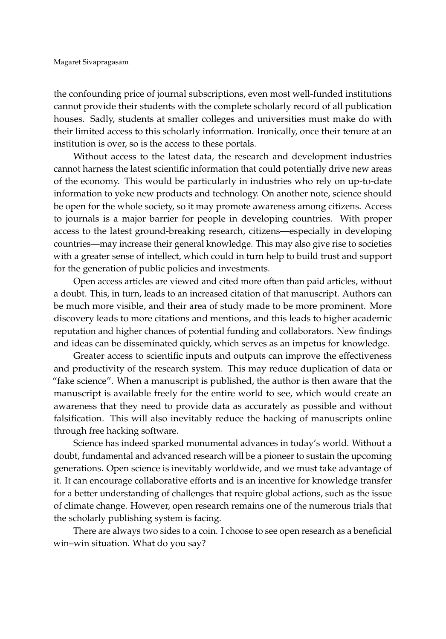the confounding price of journal subscriptions, even most well-funded institutions cannot provide their students with the complete scholarly record of all publication houses. Sadly, students at smaller colleges and universities must make do with their limited access to this scholarly information. Ironically, once their tenure at an institution is over, so is the access to these portals.

Without access to the latest data, the research and development industries cannot harness the latest scientific information that could potentially drive new areas of the economy. This would be particularly in industries who rely on up-to-date information to yoke new products and technology. On another note, science should be open for the whole society, so it may promote awareness among citizens. Access to journals is a major barrier for people in developing countries. With proper access to the latest ground-breaking research, citizens—especially in developing countries—may increase their general knowledge. This may also give rise to societies with a greater sense of intellect, which could in turn help to build trust and support for the generation of public policies and investments.

Open access articles are viewed and cited more often than paid articles, without a doubt. This, in turn, leads to an increased citation of that manuscript. Authors can be much more visible, and their area of study made to be more prominent. More discovery leads to more citations and mentions, and this leads to higher academic reputation and higher chances of potential funding and collaborators. New findings and ideas can be disseminated quickly, which serves as an impetus for knowledge.

Greater access to scientific inputs and outputs can improve the effectiveness and productivity of the research system. This may reduce duplication of data or "fake science". When a manuscript is published, the author is then aware that the manuscript is available freely for the entire world to see, which would create an awareness that they need to provide data as accurately as possible and without falsification. This will also inevitably reduce the hacking of manuscripts online through free hacking software.

Science has indeed sparked monumental advances in today's world. Without a doubt, fundamental and advanced research will be a pioneer to sustain the upcoming generations. Open science is inevitably worldwide, and we must take advantage of it. It can encourage collaborative efforts and is an incentive for knowledge transfer for a better understanding of challenges that require global actions, such as the issue of climate change. However, open research remains one of the numerous trials that the scholarly publishing system is facing.

There are always two sides to a coin. I choose to see open research as a beneficial win–win situation. What do you say?